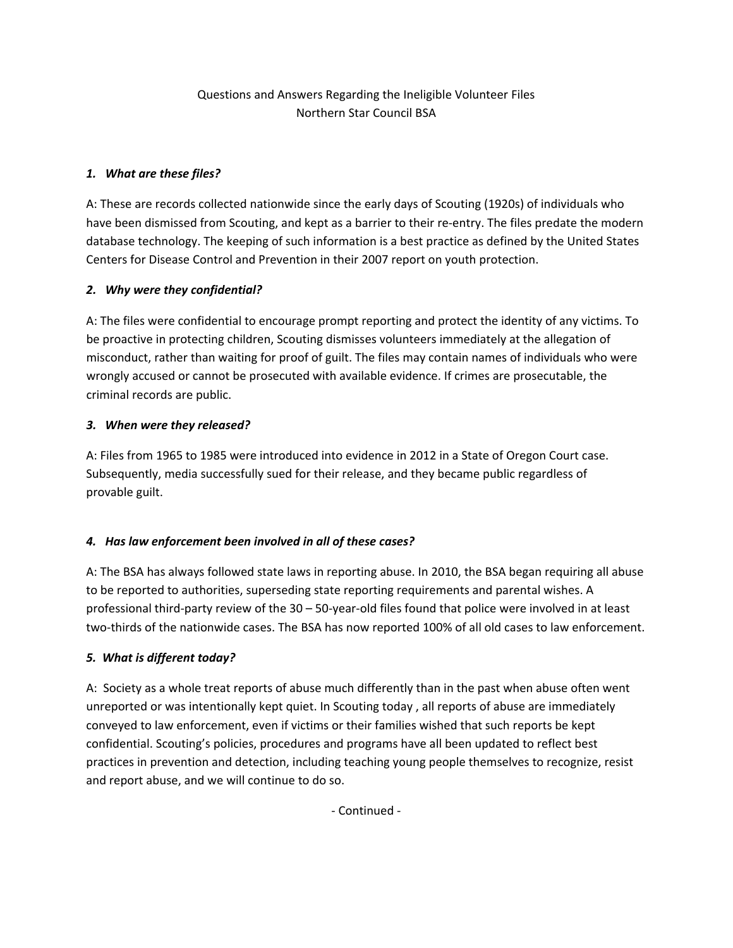# Questions and Answers Regarding the Ineligible Volunteer Files Northern Star Council BSA

## *1. What are these files?*

A: These are records collected nationwide since the early days of Scouting (1920s) of individuals who have been dismissed from Scouting, and kept as a barrier to their re-entry. The files predate the modern database technology. The keeping of such information is a best practice as defined by the United States Centers for Disease Control and Prevention in their 2007 report on youth protection.

#### *2. Why were they confidential?*

A: The files were confidential to encourage prompt reporting and protect the identity of any victims. To be proactive in protecting children, Scouting dismisses volunteers immediately at the allegation of misconduct, rather than waiting for proof of guilt. The files may contain names of individuals who were wrongly accused or cannot be prosecuted with available evidence. If crimes are prosecutable, the criminal records are public.

#### *3. When were they released?*

A: Files from 1965 to 1985 were introduced into evidence in 2012 in a State of Oregon Court case. Subsequently, media successfully sued for their release, and they became public regardless of provable guilt.

## *4. Has law enforcement been involved in all of these cases?*

A: The BSA has always followed state laws in reporting abuse. In 2010, the BSA began requiring all abuse to be reported to authorities, superseding state reporting requirements and parental wishes. A professional third‐party review of the 30 – 50‐year‐old files found that police were involved in at least two-thirds of the nationwide cases. The BSA has now reported 100% of all old cases to law enforcement.

## *5. What is different today?*

A: Society as a whole treat reports of abuse much differently than in the past when abuse often went unreported or was intentionally kept quiet. In Scouting today , all reports of abuse are immediately conveyed to law enforcement, even if victims or their families wished that such reports be kept confidential. Scouting's policies, procedures and programs have all been updated to reflect best practices in prevention and detection, including teaching young people themselves to recognize, resist and report abuse, and we will continue to do so.

‐ Continued ‐